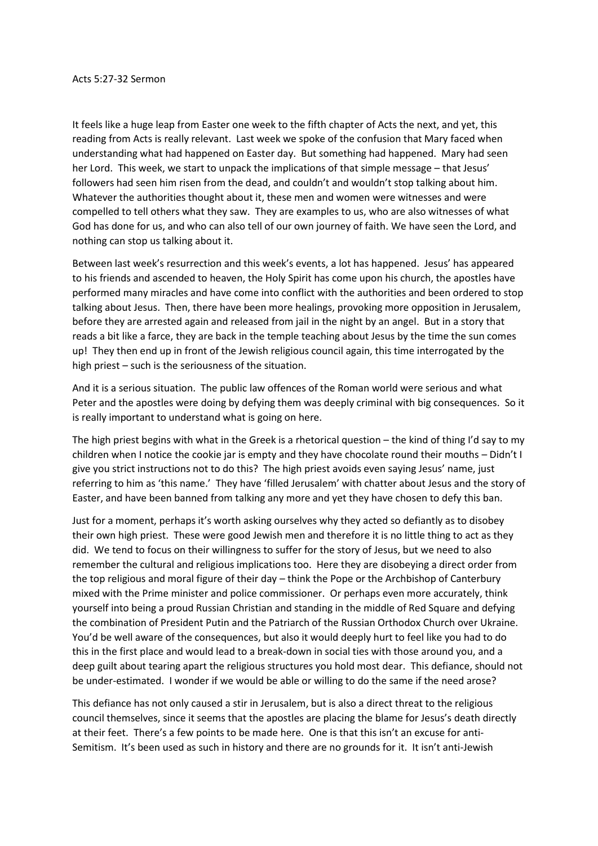It feels like a huge leap from Easter one week to the fifth chapter of Acts the next, and yet, this reading from Acts is really relevant. Last week we spoke of the confusion that Mary faced when understanding what had happened on Easter day. But something had happened. Mary had seen her Lord. This week, we start to unpack the implications of that simple message – that Jesus' followers had seen him risen from the dead, and couldn't and wouldn't stop talking about him. Whatever the authorities thought about it, these men and women were witnesses and were compelled to tell others what they saw. They are examples to us, who are also witnesses of what God has done for us, and who can also tell of our own journey of faith. We have seen the Lord, and nothing can stop us talking about it.

Between last week's resurrection and this week's events, a lot has happened. Jesus' has appeared to his friends and ascended to heaven, the Holy Spirit has come upon his church, the apostles have performed many miracles and have come into conflict with the authorities and been ordered to stop talking about Jesus. Then, there have been more healings, provoking more opposition in Jerusalem, before they are arrested again and released from jail in the night by an angel. But in a story that reads a bit like a farce, they are back in the temple teaching about Jesus by the time the sun comes up! They then end up in front of the Jewish religious council again, this time interrogated by the high priest – such is the seriousness of the situation.

And it is a serious situation. The public law offences of the Roman world were serious and what Peter and the apostles were doing by defying them was deeply criminal with big consequences. So it is really important to understand what is going on here.

The high priest begins with what in the Greek is a rhetorical question – the kind of thing I'd say to my children when I notice the cookie jar is empty and they have chocolate round their mouths – Didn't I give you strict instructions not to do this? The high priest avoids even saying Jesus' name, just referring to him as 'this name.' They have 'filled Jerusalem' with chatter about Jesus and the story of Easter, and have been banned from talking any more and yet they have chosen to defy this ban.

Just for a moment, perhaps it's worth asking ourselves why they acted so defiantly as to disobey their own high priest. These were good Jewish men and therefore it is no little thing to act as they did. We tend to focus on their willingness to suffer for the story of Jesus, but we need to also remember the cultural and religious implications too. Here they are disobeying a direct order from the top religious and moral figure of their day – think the Pope or the Archbishop of Canterbury mixed with the Prime minister and police commissioner. Or perhaps even more accurately, think yourself into being a proud Russian Christian and standing in the middle of Red Square and defying the combination of President Putin and the Patriarch of the Russian Orthodox Church over Ukraine. You'd be well aware of the consequences, but also it would deeply hurt to feel like you had to do this in the first place and would lead to a break-down in social ties with those around you, and a deep guilt about tearing apart the religious structures you hold most dear. This defiance, should not be under-estimated. I wonder if we would be able or willing to do the same if the need arose?

This defiance has not only caused a stir in Jerusalem, but is also a direct threat to the religious council themselves, since it seems that the apostles are placing the blame for Jesus's death directly at their feet. There's a few points to be made here. One is that this isn't an excuse for anti-Semitism. It's been used as such in history and there are no grounds for it. It isn't anti-Jewish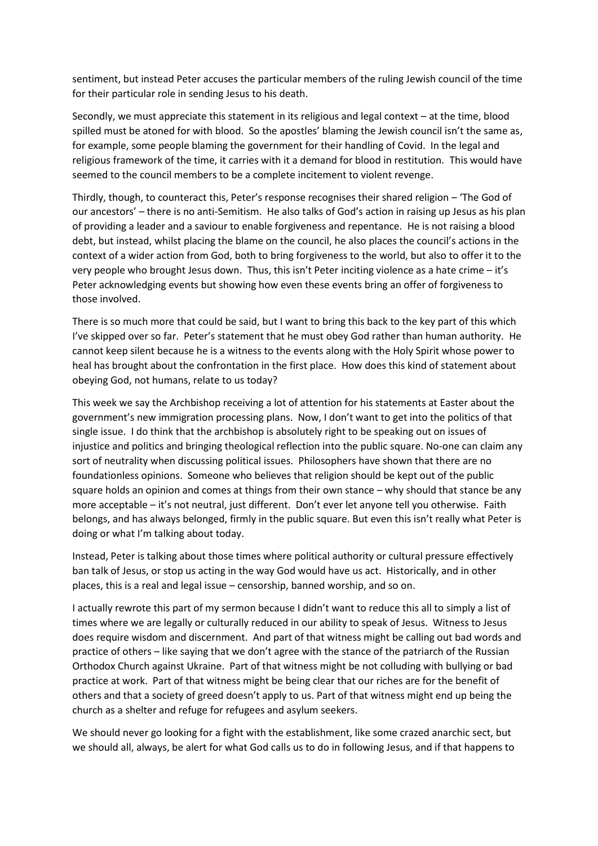sentiment, but instead Peter accuses the particular members of the ruling Jewish council of the time for their particular role in sending Jesus to his death.

Secondly, we must appreciate this statement in its religious and legal context – at the time, blood spilled must be atoned for with blood. So the apostles' blaming the Jewish council isn't the same as, for example, some people blaming the government for their handling of Covid. In the legal and religious framework of the time, it carries with it a demand for blood in restitution. This would have seemed to the council members to be a complete incitement to violent revenge.

Thirdly, though, to counteract this, Peter's response recognises their shared religion – 'The God of our ancestors' – there is no anti-Semitism. He also talks of God's action in raising up Jesus as his plan of providing a leader and a saviour to enable forgiveness and repentance. He is not raising a blood debt, but instead, whilst placing the blame on the council, he also places the council's actions in the context of a wider action from God, both to bring forgiveness to the world, but also to offer it to the very people who brought Jesus down. Thus, this isn't Peter inciting violence as a hate crime – it's Peter acknowledging events but showing how even these events bring an offer of forgiveness to those involved.

There is so much more that could be said, but I want to bring this back to the key part of this which I've skipped over so far. Peter's statement that he must obey God rather than human authority. He cannot keep silent because he is a witness to the events along with the Holy Spirit whose power to heal has brought about the confrontation in the first place. How does this kind of statement about obeying God, not humans, relate to us today?

This week we say the Archbishop receiving a lot of attention for his statements at Easter about the government's new immigration processing plans. Now, I don't want to get into the politics of that single issue. I do think that the archbishop is absolutely right to be speaking out on issues of injustice and politics and bringing theological reflection into the public square. No-one can claim any sort of neutrality when discussing political issues. Philosophers have shown that there are no foundationless opinions. Someone who believes that religion should be kept out of the public square holds an opinion and comes at things from their own stance – why should that stance be any more acceptable – it's not neutral, just different. Don't ever let anyone tell you otherwise. Faith belongs, and has always belonged, firmly in the public square. But even this isn't really what Peter is doing or what I'm talking about today.

Instead, Peter is talking about those times where political authority or cultural pressure effectively ban talk of Jesus, or stop us acting in the way God would have us act. Historically, and in other places, this is a real and legal issue – censorship, banned worship, and so on.

I actually rewrote this part of my sermon because I didn't want to reduce this all to simply a list of times where we are legally or culturally reduced in our ability to speak of Jesus. Witness to Jesus does require wisdom and discernment. And part of that witness might be calling out bad words and practice of others – like saying that we don't agree with the stance of the patriarch of the Russian Orthodox Church against Ukraine. Part of that witness might be not colluding with bullying or bad practice at work. Part of that witness might be being clear that our riches are for the benefit of others and that a society of greed doesn't apply to us. Part of that witness might end up being the church as a shelter and refuge for refugees and asylum seekers.

We should never go looking for a fight with the establishment, like some crazed anarchic sect, but we should all, always, be alert for what God calls us to do in following Jesus, and if that happens to